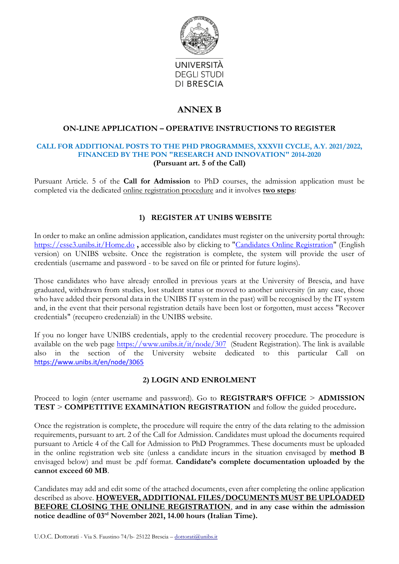

# **ANNEX B**

### **ON-LINE APPLICATION – OPERATIVE INSTRUCTIONS TO REGISTER**

#### **CALL FOR ADDITIONAL POSTS TO THE PHD PROGRAMMES, XXXVII CYCLE, A.Y. 2021/2022, FINANCED BY THE PON "RESEARCH AND INNOVATION" 2014-2020 (Pursuant art. 5 of the Call)**

Pursuant Article. 5 of the **Call for Admission** to PhD courses, the admission application must be completed via the dedicated online registration procedure and it involves **two steps**:

# **1) REGISTER AT UNIBS WEBSITE**

In order to make an online admission application, candidates must register on the university portal through: <https://esse3.unibs.it/Home.do> **,** accessible also by clicking to ["Candidates Online Registration"](https://esse3.unibs.it/AddressBook/ABStartProcessoRegAction.do;jsessionid=582E1CB682F71DE7A4AEB8DE027C810C.esse3-unibs-prod-01?cod_lingua=eng) (English version) on UNIBS website. Once the registration is complete, the system will provide the user of credentials (username and password - to be saved on file or printed for future logins).

Those candidates who have already enrolled in previous years at the University of Brescia, and have graduated, withdrawn from studies, lost student status or moved to another university (in any case, those who have added their personal data in the UNIBS IT system in the past) will be recognised by the IT system and, in the event that their personal registration details have been lost or forgotten, must access "Recover credentials" (recupero credenziali) in the UNIBS website.

If you no longer have UNIBS credentials, apply to the credential recovery procedure. The procedure is available on the web page  $\frac{https://www.unibs.it/it/node/307}{https://www.unibs.it/it/node/307}$  (Student Registration). The link is available also in the section of the University website dedicated to this particular Call on <https://www.unibs.it/en/node/3065>

# **2) LOGIN AND ENROLMENT**

Proceed to login (enter username and password). Go to **REGISTRAR'S OFFICE** > **ADMISSION TEST** > **COMPETITIVE EXAMINATION REGISTRATION** and follow the guided procedure**.**

Once the registration is complete, the procedure will require the entry of the data relating to the admission requirements, pursuant to art. 2 of the Call for Admission. Candidates must upload the documents required pursuant to Article 4 of the Call for Admission to PhD Programmes. These documents must be uploaded in the online registration web site (unless a candidate incurs in the situation envisaged by **method B** envisaged below) and must be .pdf format. **Candidate's complete documentation uploaded by the cannot exceed 60 MB**.

Candidates may add and edit some of the attached documents, even after completing the online application described as above. **HOWEVER, ADDITIONAL FILES/DOCUMENTS MUST BE UPLOADED BEFORE CLOSING THE ONLINE REGISTRATION**, **and in any case within the admission notice deadline of 03rd November 2021, 14.00 hours (Italian Time).**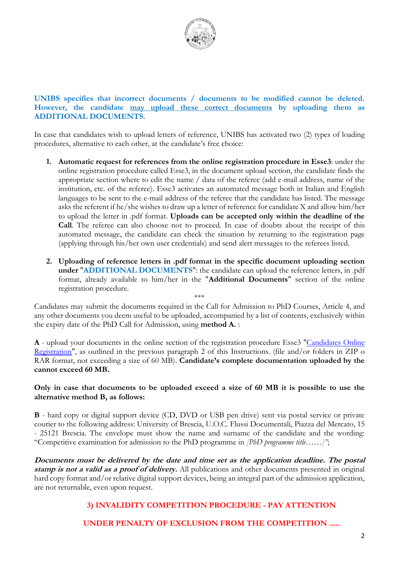

### **UNIBS specifies that incorrect documents / documents to be modified cannot be deleted. However, the candidate may upload these correct documents by uploading them as ADDITIONAL DOCUMENTS**.

In case that candidates wish to upload letters of reference, UNIBS has activated two (2) types of loading procedures, alternative to each other, at the candidate's free choice:

- **1. Automatic request for references from the online registration procedure in Esse3**: under the online registration procedure called Esse3, in the document upload section, the candidate finds the appropriate section where to edit the name / data of the referee (add e-mail address, name of the institution, etc. of the referee). Esse3 activates an automated message both in Italian and English languages to be sent to the e-mail address of the referee that the candidate has listed. The message asks the referent if he/she wishes to draw up a letter of reference for candidate X and allow him/her to upload the letter in .pdf format. **Uploads can be accepted only within the deadline of the Call**. The referee can also choose not to proceed. In case of doubts about the receipt of this automated message, the candidate can check the situation by returning to the registration page (applying through his/her own user credentials) and send alert messages to the referees listed.
- **2. Uploading of reference letters in .pdf format in the specific document uploading section under** "**ADDITIONAL DOCUMENTS**": the candidate can upload the reference letters, in .pdf format, already available to him/her in the "**Additional Documents**" section of the online registration procedure.

Candidates may submit the documents required in the Call for Admission to PhD Courses, Article 4, and any other documents you deem useful to be uploaded, accompanied by a list of contents, exclusively within the expiry date of the PhD Call for Admission, using **method A.** :

\*\*\*

**A** - upload your documents in the online section of the registration procedure Esse3 ["Candidates Online](https://esse3.unibs.it/AddressBook/ABStartProcessoRegAction.do;jsessionid=582E1CB682F71DE7A4AEB8DE027C810C.esse3-unibs-prod-01?cod_lingua=eng)  [Registration"](https://esse3.unibs.it/AddressBook/ABStartProcessoRegAction.do;jsessionid=582E1CB682F71DE7A4AEB8DE027C810C.esse3-unibs-prod-01?cod_lingua=eng), as outlined in the previous paragraph 2 of this Instructions. (file and/or folders in ZIP o RAR format, not exceeding a size of 60 MB). **Candidate's complete documentation uploaded by the cannot exceed 60 MB.**

#### **Only in case that documents to be uploaded exceed a size of 60 MB it is possible to use the alternative method B, as follows:**

**B** - hard copy or digital support device (CD, DVD or USB pen drive) sent via postal service or private courier to the following address: University of Brescia, U.O.C. Flussi Documentali, Piazza del Mercato, 15 - 25121 Brescia. The envelope must show the name and surname of the candidate and the wording: "Competitive examination for admission to the PhD programme in *[PhD programme title……]"*;

**Documents must be delivered by the date and time set as the application deadline. The postal stamp is not a valid as a proof of delivery.** All publications and other documents presented in original hard copy format and/or relative digital support devices, being an integral part of the admission application, are not returnable, even upon request.

# **3) INVALIDITY COMPETITION PROCEDURE - PAY ATTENTION**

**UNDER PENALTY OF EXCLUSION FROM THE COMPETITION .....**